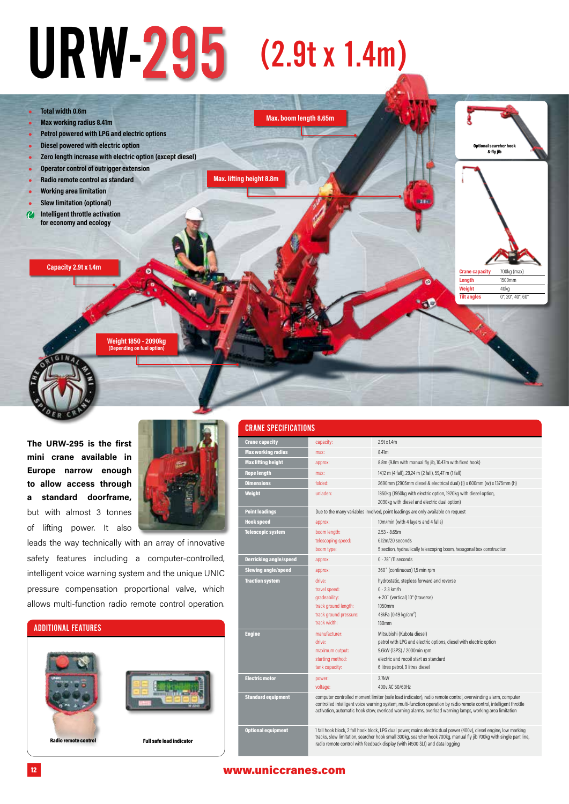## URW-295 (2.9t x 1.4m)



**The URW-295 is the first mini crane available in Europe narrow enough to allow access through a standard doorframe,** but with almost 3 tonnes of lifting power. It also



leads the way technically with an array of innovative safety features including a computer-controlled, intelligent voice warning system and the unique UNIC pressure compensation proportional valve, which allows multi-function radio remote control operation.



|                                                 | <b>Crane capacity</b>                                                                                                                                                                                                                                                                                                                                   | capacity:                                                                                                  | $2.9t \times 1.4m$                                                                                                                                                                                                                                                                                                                              |  |  |  |  |  |  |  |
|-------------------------------------------------|---------------------------------------------------------------------------------------------------------------------------------------------------------------------------------------------------------------------------------------------------------------------------------------------------------------------------------------------------------|------------------------------------------------------------------------------------------------------------|-------------------------------------------------------------------------------------------------------------------------------------------------------------------------------------------------------------------------------------------------------------------------------------------------------------------------------------------------|--|--|--|--|--|--|--|
|                                                 | <b>Max working radius</b>                                                                                                                                                                                                                                                                                                                               | max:                                                                                                       | 8.41m<br>8.8m (9.8m with manual fly jib, 10.47m with fixed hook)                                                                                                                                                                                                                                                                                |  |  |  |  |  |  |  |
|                                                 | <b>Max lifting height</b>                                                                                                                                                                                                                                                                                                                               | approx:                                                                                                    |                                                                                                                                                                                                                                                                                                                                                 |  |  |  |  |  |  |  |
|                                                 | <b>Rope lenath</b>                                                                                                                                                                                                                                                                                                                                      | max:                                                                                                       | 14,12 m (4 fall), 29,24 m (2 fall), 59,47 m (1 fall)                                                                                                                                                                                                                                                                                            |  |  |  |  |  |  |  |
|                                                 | <b>Dimensions</b>                                                                                                                                                                                                                                                                                                                                       | folded:                                                                                                    | 2690mm (2905mm diesel & electrical dual) (I) x 600mm (w) x 1375mm (h)                                                                                                                                                                                                                                                                           |  |  |  |  |  |  |  |
|                                                 | Weight                                                                                                                                                                                                                                                                                                                                                  | unladen:                                                                                                   | 1850kg (1950kg with electric option, 1920kg with diesel option,<br>2090kg with diesel and electric dual option)                                                                                                                                                                                                                                 |  |  |  |  |  |  |  |
|                                                 | <b>Point loadings</b>                                                                                                                                                                                                                                                                                                                                   | Due to the many variables involved, point loadings are only available on request                           |                                                                                                                                                                                                                                                                                                                                                 |  |  |  |  |  |  |  |
|                                                 | <b>Hook speed</b>                                                                                                                                                                                                                                                                                                                                       | approx:                                                                                                    | 10m/min (with 4 layers and 4 falls)                                                                                                                                                                                                                                                                                                             |  |  |  |  |  |  |  |
|                                                 | <b>Telescopic system</b>                                                                                                                                                                                                                                                                                                                                | boom length:                                                                                               | $2.53 - 8.65m$                                                                                                                                                                                                                                                                                                                                  |  |  |  |  |  |  |  |
| an array of innovative                          |                                                                                                                                                                                                                                                                                                                                                         | telescoping speed:                                                                                         | 6.12m/20 seconds                                                                                                                                                                                                                                                                                                                                |  |  |  |  |  |  |  |
|                                                 |                                                                                                                                                                                                                                                                                                                                                         | boom type:                                                                                                 | 5 section, hydraulically telescoping boom, hexagonal box construction                                                                                                                                                                                                                                                                           |  |  |  |  |  |  |  |
| computer-controlled,                            | <b>Derricking angle/speed</b>                                                                                                                                                                                                                                                                                                                           | approx:                                                                                                    | $0 - 78$ °/11 seconds                                                                                                                                                                                                                                                                                                                           |  |  |  |  |  |  |  |
| and the unique UNIC                             | <b>Slewing angle/speed</b>                                                                                                                                                                                                                                                                                                                              | approx:                                                                                                    | 360° (continuous) 1,5 min rpm                                                                                                                                                                                                                                                                                                                   |  |  |  |  |  |  |  |
| prtional valve, which<br>ote control operation. | <b>Traction system</b>                                                                                                                                                                                                                                                                                                                                  | drive:<br>travel speed:<br>gradeability:<br>track ground length:<br>track ground pressure:<br>track width: | hydrostatic, stepless forward and reverse<br>$0 - 2.3$ km/h<br>$\pm$ 20° (vertical) 10° (traverse)<br>1050mm<br>48kPa (0.49 kg/cm <sup>2</sup> )<br>180mm                                                                                                                                                                                       |  |  |  |  |  |  |  |
|                                                 | <b>Engine</b>                                                                                                                                                                                                                                                                                                                                           | manufacturer:<br>drive:<br>maximum output:<br>starting method:<br>tank capacity:                           | Mitsubishi (Kubota diesel)<br>petrol with LPG and electric options, diesel with electric option<br>9.6kW (13PS) / 2000min rpm<br>electric and recoil start as standard<br>6 litres petrol, 9 litres diesel                                                                                                                                      |  |  |  |  |  |  |  |
|                                                 | <b>Electric motor</b>                                                                                                                                                                                                                                                                                                                                   | power:<br>voltage:                                                                                         | 3.7kW<br>400y AC 50/60Hz                                                                                                                                                                                                                                                                                                                        |  |  |  |  |  |  |  |
|                                                 | <b>Standard equipment</b>                                                                                                                                                                                                                                                                                                                               |                                                                                                            | computer controlled moment limiter (safe load indicator), radio remote control, overwinding alarm, computer<br>controlled intelligent voice warning system, multi-function operation by radio remote control, intelligent throttle<br>activation, automatic hook stow, overload warning alarms, overload warning lamps, working area limitation |  |  |  |  |  |  |  |
| Full safe load indicator                        | 1 fall hook block, 2 fall hook block, LPG dual power, mains electric dual power (400v), diesel engine, low marking<br><b>Optional equipment</b><br>tracks, slew limitation, searcher hook small 300kg, searcher hook 700kg, manual fly jib 700kg with single part line,<br>radio remote control with feedback display (with i4500 SLI) and data logging |                                                                                                            |                                                                                                                                                                                                                                                                                                                                                 |  |  |  |  |  |  |  |

## www.uniccranes.com